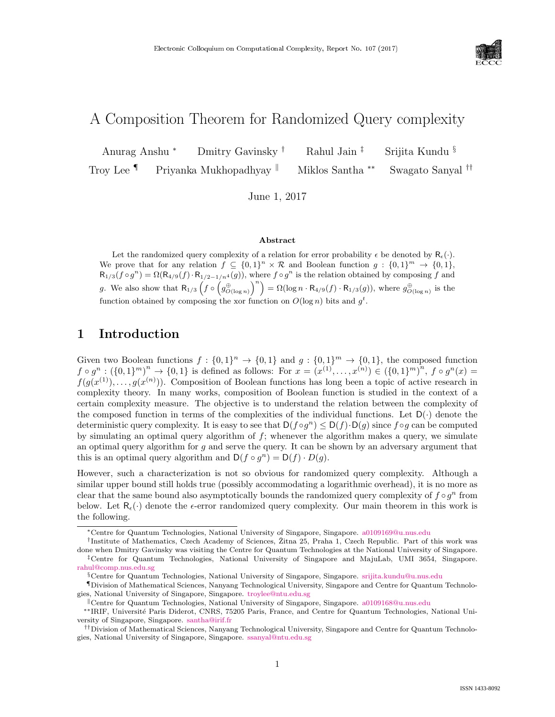

# A Composition Theorem for Randomized Query complexity

Anurag Anshu <sup>∗</sup> Dmitry Gavinsky † Rahul Jain ‡ Srijita Kundu § Troy Lee <sup>¶</sup> Priyanka Mukhopadhyay <sup>||</sup> Miklos Santha <sup>∗∗</sup> Swagato Sanyal <sup>††</sup>

June 1, 2017

#### Abstract

Let the randomized query complexity of a relation for error probability  $\epsilon$  be denoted by  $R_{\epsilon}(\cdot)$ . We prove that for any relation  $f \subseteq \{0,1\}^n \times \mathcal{R}$  and Boolean function  $g : \{0,1\}^m \to \{0,1\}$ ,  $R_{1/3}(f\circ g^n) = \Omega(R_{4/9}(f)\cdot R_{1/2-1/n^4}(g)),$  where  $f\circ g^n$  is the relation obtained by composing f and g. We also show that  $R_{1/3}$   $\left(f \circ \left(g_{O(\log n)}^{\oplus}\right)^n\right) = \Omega(\log n \cdot R_{4/9}(f) \cdot R_{1/3}(g))$ , where  $g_{O(\log n)}^{\oplus}$  is the function obtained by composing the xor function on  $O(\log n)$  bits and  $g^t$ .

# 1 Introduction

Given two Boolean functions  $f: \{0,1\}^n \to \{0,1\}$  and  $g: \{0,1\}^m \to \{0,1\}$ , the composed function  $f \circ g^n : (\{0,1\}^m)^n \to \{0,1\}$  is defined as follows: For  $x = (x^{(1)}, \ldots, x^{(n)}) \in (\{0,1\}^m)^n$ ,  $f \circ g^n(x) =$  $f(g(x^{(1)}), \ldots, g(x^{(n)}))$ . Composition of Boolean functions has long been a topic of active research in complexity theory. In many works, composition of Boolean function is studied in the context of a certain complexity measure. The objective is to understand the relation between the complexity of the composed function in terms of the complexities of the individual functions. Let  $D(\cdot)$  denote the deterministic query complexity. It is easy to see that  $D(f \circ g^n) \leq D(f) \cdot D(g)$  since  $f \circ g$  can be computed by simulating an optimal query algorithm of  $f$ ; whenever the algorithm makes a query, we simulate an optimal query algorithm for  $g$  and serve the query. It can be shown by an adversary argument that this is an optimal query algorithm and  $D(f \circ g^n) = D(f) \cdot D(g)$ .

However, such a characterization is not so obvious for randomized query complexity. Although a similar upper bound still holds true (possibly accommodating a logarithmic overhead), it is no more as clear that the same bound also asymptotically bounds the randomized query complexity of  $f \circ g^n$  from below. Let  $R_{\epsilon}(\cdot)$  denote the  $\epsilon$ -error randomized query complexity. Our main theorem in this work is the following.

<sup>∗</sup>Centre for Quantum Technologies, National University of Singapore, Singapore. [a0109169@u.nus.edu](mailto:a0109169@u.nus.edu)

<sup>&</sup>lt;sup>†</sup>Institute of Mathematics, Czech Academy of Sciences, Žitna 25, Praha 1, Czech Republic. Part of this work was done when Dmitry Gavinsky was visiting the Centre for Quantum Technologies at the National University of Singapore. ‡Centre for Quantum Technologies, National University of Singapore and MajuLab, UMI 3654, Singapore. [rahul@comp.nus.edu.sg](mailto:rahul@comp.nus.edu.sg)

<sup>§</sup>Centre for Quantum Technologies, National University of Singapore, Singapore. [srijita.kundu@u.nus.edu](mailto:srijita.kundu@u.nus.edu)

<sup>¶</sup>Division of Mathematical Sciences, Nanyang Technological University, Singapore and Centre for Quantum Technologies, National University of Singapore, Singapore. [troylee@ntu.edu.sg](mailto:troylee@ntu.edu.sg)

<sup>k</sup>Centre for Quantum Technologies, National University of Singapore, Singapore. [a0109168@u.nus.edu](mailto:a0109168@u.nus.edu)

<sup>∗∗</sup>IRIF, Universit´e Paris Diderot, CNRS, 75205 Paris, France, and Centre for Quantum Technologies, National University of Singapore, Singapore. [santha@irif.fr](mailto:santha@irif.fr)

<sup>††</sup>Division of Mathematical Sciences, Nanyang Technological University, Singapore and Centre for Quantum Technologies, National University of Singapore, Singapore. [ssanyal@ntu.edu.sg](mailto:ssanyal@ntu.edu.sg)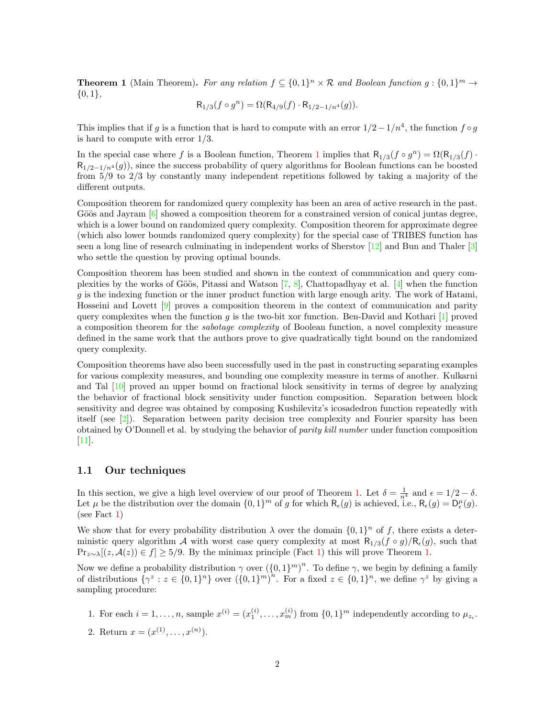<span id="page-1-0"></span>**Theorem 1** (Main Theorem). For any relation  $f \subseteq \{0,1\}^n \times \mathcal{R}$  and Boolean function  $g : \{0,1\}^m \to$  $\{0,1\},\$ 

$$
R_{1/3}(f \circ g^n) = \Omega(R_{4/9}(f) \cdot R_{1/2 - 1/n^4}(g)).
$$

This implies that if g is a function that is hard to compute with an error  $1/2-1/n^4$ , the function  $f \circ g$ is hard to compute with error 1/3.

In the special case where f is a Boolean function, Theorem [1](#page-1-0) implies that  $R_{1/3}(f \circ g^n) = \Omega(R_{1/3}(f) \cdot$  $R_{1/2-1/n^4}(g)$ , since the success probability of query algorithms for Boolean functions can be boosted from 5/9 to 2/3 by constantly many independent repetitions followed by taking a majority of the different outputs.

Composition theorem for randomized query complexity has been an area of active research in the past. Göös and Jayram  $[6]$  showed a composition theorem for a constrained version of conical juntas degree, which is a lower bound on randomized query complexity. Composition theorem for approximate degree (which also lower bounds randomized query complexity) for the special case of TRIBES function has seen a long line of research culminating in independent works of Sherstov [\[12\]](#page--1-1) and Bun and Thaler [\[3\]](#page--1-2) who settle the question by proving optimal bounds.

Composition theorem has been studied and shown in the context of communication and query complexities by the works of Göös, Pitassi and Watson  $[7, 8]$  $[7, 8]$  $[7, 8]$ , Chattopadhyay et al.  $[4]$  when the function  $g$  is the indexing function or the inner product function with large enough arity. The work of Hatami, Hosseini and Lovett [\[9\]](#page--1-6) proves a composition theorem in the context of communication and parity query complexites when the function g is the two-bit xor function. Ben-David and Kothari  $[1]$  proved a composition theorem for the sabotage complexity of Boolean function, a novel complexity measure defined in the same work that the authors prove to give quadratically tight bound on the randomized query complexity.

Composition theorems have also been successfully used in the past in constructing separating examples for various complexity measures, and bounding one complexity measure in terms of another. Kulkarni and Tal [\[10\]](#page--1-7) proved an upper bound on fractional block sensitivity in terms of degree by analyzing the behavior of fractional block sensitivity under function composition. Separation between block sensitivity and degree was obtained by composing Kushilevitz's icosadedron function repeatedly with itself (see [\[2\]](#page-9-1)). Separation between parity decision tree complexity and Fourier sparsity has been obtained by O'Donnell et al. by studying the behavior of parity kill number under function composition [\[11\]](#page--1-8).

#### <span id="page-1-1"></span>1.1 Our techniques

In this section, we give a high level overview of our proof of Theorem [1.](#page-1-0) Let  $\delta = \frac{1}{n^4}$  and  $\epsilon = 1/2 - \delta$ . Let  $\mu$  be the distribution over the domain  $\{0,1\}^m$  of g for which  $\mathsf{R}_{\epsilon}(g)$  is achieved, i.e.,  $\mathsf{R}_{\epsilon}(g) = \mathsf{D}_{\epsilon}^{\mu}(g)$ . (see Fact [1\)](#page-3-0)

We show that for every probability distribution  $\lambda$  over the domain  $\{0,1\}^n$  of f, there exists a deterministic query algorithm A with worst case query complexity at most  $R_{1/3}(f \circ g)/R_{\epsilon}(g)$ , such that  $\Pr_{z \sim \lambda}[(z, \mathcal{A}(z)) \in f] \ge 5/9$ . By the minimax principle (Fact [1\)](#page-3-0) this will prove Theorem [1.](#page-1-0)

Now we define a probability distribution  $\gamma$  over  $({0,1})^m$ . To define  $\gamma$ , we begin by defining a family of distributions  $\{\gamma^z : z \in \{0,1\}^n\}$  over  $(\{0,1\}^m)^n$ . For a fixed  $z \in \{0,1\}^n$ , we define  $\gamma^z$  by giving a sampling procedure:

- 1. For each  $i = 1, ..., n$ , sample  $x^{(i)} = (x_1^{(i)}, ..., x_m^{(i)})$  from  $\{0, 1\}^m$  independently according to  $\mu_{z_i}$ .
- 2. Return  $x = (x^{(1)}, \ldots, x^{(n)})$ .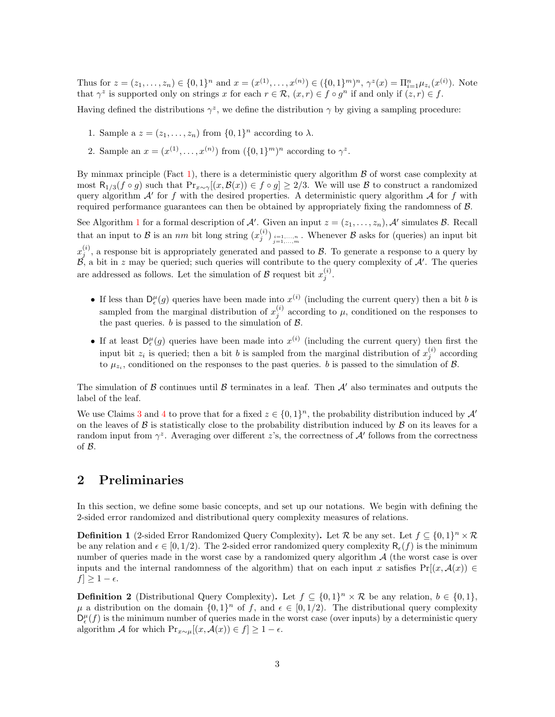Thus for  $z = (z_1, \ldots, z_n) \in \{0, 1\}^n$  and  $x = (x^{(1)}, \ldots, x^{(n)}) \in (\{0, 1\}^m)^n$ ,  $\gamma^z(x) = \prod_{i=1}^n \mu_{z_i}(x^{(i)})$ . Note that  $\gamma^z$  is supported only on strings x for each  $r \in \mathcal{R}$ ,  $(x, r) \in f \circ g^n$  if and only if  $(z, r) \in f$ .

Having defined the distributions  $\gamma^z$ , we define the distribution  $\gamma$  by giving a sampling procedure:

- 1. Sample a  $z = (z_1, \ldots, z_n)$  from  $\{0, 1\}^n$  according to  $\lambda$ .
- 2. Sample an  $x = (x^{(1)}, \ldots, x^{(n)})$  from  $({0,1}^m)^n$  according to  $\gamma^z$ .

By minmax principle (Fact [1\)](#page-3-0), there is a deterministic query algorithm  $\beta$  of worst case complexity at most  $\mathsf{R}_{1/3}(f \circ g)$  such that  $\Pr_{x \sim \gamma}[(x, \mathcal{B}(x)) \in f \circ g] \geq 2/3$ . We will use B to construct a randomized query algorithm  $A'$  for f with the desired properties. A deterministic query algorithm  $A$  for f with required performance guarantees can then be obtained by appropriately fixing the randomness of B.

See Algorithm [1](#page-6-0) for a formal description of A'. Given an input  $z = (z_1, \ldots, z_n)$ , A' simulates B. Recall that an input to B is an nm bit long string  $(x_j^{(i)})_{\substack{i=1,...,n\\j=1,...,m}}$ . Whenever B asks for (queries) an input bit  $x_j^{(i)}$ , a response bit is appropriately generated and passed to  $\mathcal{B}$ . To generate a response to a query by  $\beta$ , a bit in z may be queried; such queries will contribute to the query complexity of  $\mathcal{A}'$ . The queries are addressed as follows. Let the simulation of  $\mathcal{B}$  request bit  $x_j^{(i)}$ .

- If less than  $D_{\epsilon}^{\mu}(g)$  queries have been made into  $x^{(i)}$  (including the current query) then a bit b is sampled from the marginal distribution of  $x_j^{(i)}$  according to  $\mu$ , conditioned on the responses to the past queries.  $b$  is passed to the simulation of  $\beta$ .
- If at least  $D_{\epsilon}^{\mu}(g)$  queries have been made into  $x^{(i)}$  (including the current query) then first the input bit  $z_i$  is queried; then a bit b is sampled from the marginal distribution of  $x_j^{(i)}$  according to  $\mu_{z_i}$ , conditioned on the responses to the past queries. b is passed to the simulation of  $\mathcal{B}$ .

The simulation of B continues until B terminates in a leaf. Then  $\mathcal{A}'$  also terminates and outputs the label of the leaf.

We use Claims [3](#page-4-0) and [4](#page-5-0) to prove that for a fixed  $z \in \{0,1\}^n$ , the probability distribution induced by  $\mathcal{A}'$ on the leaves of  $\beta$  is statistically close to the probability distribution induced by  $\beta$  on its leaves for a random input from  $\gamma^z$ . Averaging over different z's, the correctness of A' follows from the correctness of B.

# 2 Preliminaries

In this section, we define some basic concepts, and set up our notations. We begin with defining the 2-sided error randomized and distributional query complexity measures of relations.

**Definition 1** (2-sided Error Randomized Query Complexity). Let R be any set. Let  $f \subseteq \{0,1\}^n \times \mathcal{R}$ be any relation and  $\epsilon \in [0, 1/2)$ . The 2-sided error randomized query complexity  $R_{\epsilon}(f)$  is the minimum number of queries made in the worst case by a randomized query algorithm  $A$  (the worst case is over inputs and the internal randomness of the algorithm) that on each input x satisfies  $Pr[(x, \mathcal{A}(x)) \in$  $f$ |  $\geq 1 - \epsilon$ .

**Definition 2** (Distributional Query Complexity). Let  $f \subseteq \{0,1\}^n \times \mathcal{R}$  be any relation,  $b \in \{0,1\}$ ,  $\mu$  a distribution on the domain  $\{0,1\}^n$  of f, and  $\epsilon \in [0,1/2)$ . The distributional query complexity  $D_{\epsilon}^{\mu}(f)$  is the minimum number of queries made in the worst case (over inputs) by a deterministic query algorithm A for which  $Pr_{x \sim \mu}[(x, \mathcal{A}(x)) \in f] \geq 1 - \epsilon$ .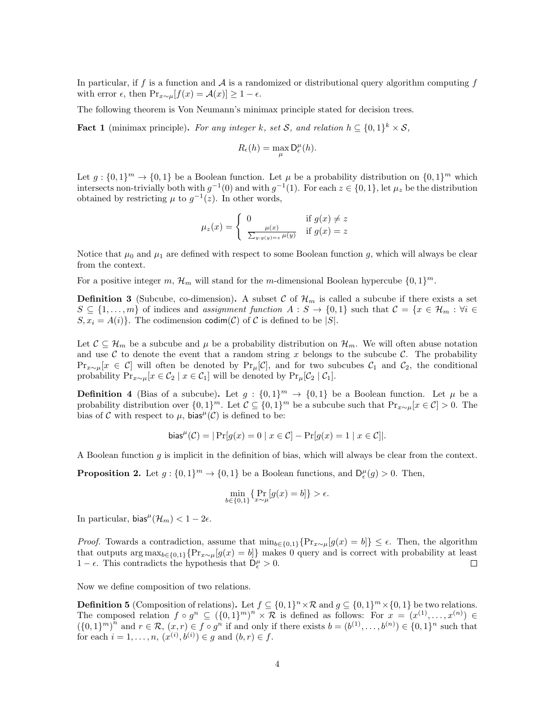In particular, if f is a function and  $\mathcal A$  is a randomized or distributional query algorithm computing f with error  $\epsilon$ , then  $\Pr_{x \sim \mu}[f(x) = \mathcal{A}(x)] \ge 1 - \epsilon$ .

The following theorem is Von Neumann's minimax principle stated for decision trees.

<span id="page-3-0"></span>**Fact 1** (minimax principle). For any integer k, set S, and relation  $h \subseteq \{0,1\}^k \times S$ ,

$$
R_{\epsilon}(h) = \max_{\mu} \mathsf{D}_{\epsilon}^{\mu}(h).
$$

Let  $g: \{0,1\}^m \to \{0,1\}$  be a Boolean function. Let  $\mu$  be a probability distribution on  $\{0,1\}^m$  which intersects non-trivially both with  $g^{-1}(0)$  and with  $g^{-1}(1)$ . For each  $z \in \{0,1\}$ , let  $\mu_z$  be the distribution obtained by restricting  $\mu$  to  $g^{-1}(z)$ . In other words,

$$
\mu_z(x) = \begin{cases} 0 & \text{if } g(x) \neq z \\ \frac{\mu(x)}{\sum_{y:g(y)=z} \mu(y)} & \text{if } g(x) = z \end{cases}
$$

Notice that  $\mu_0$  and  $\mu_1$  are defined with respect to some Boolean function g, which will always be clear from the context.

For a positive integer m,  $\mathcal{H}_m$  will stand for the m-dimensional Boolean hypercube  $\{0,1\}^m$ .

**Definition 3** (Subcube, co-dimension). A subset C of  $\mathcal{H}_m$  is called a subcube if there exists a set  $S \subseteq \{1, \ldots, m\}$  of indices and assignment function  $A : S \to \{0, 1\}$  such that  $C = \{x \in \mathcal{H}_m : \forall i \in \mathcal{H}_m\}$  $S, x_i = A(i)$ . The codimension codim(C) of C is defined to be |S|.

Let  $\mathcal{C} \subseteq \mathcal{H}_m$  be a subcube and  $\mu$  be a probability distribution on  $\mathcal{H}_m$ . We will often abuse notation and use C to denote the event that a random string x belongs to the subcube C. The probability  $\Pr_{x\sim\mu}[x \in C]$  will often be denoted by  $\Pr_{\mu}[C]$ , and for two subcubes  $C_1$  and  $C_2$ , the conditional probability  $Pr_{x\sim\mu}[x \in C_2 \mid x \in C_1]$  will be denoted by  $Pr_{\mu}[C_2 \mid C_1]$ .

**Definition 4** (Bias of a subcube). Let  $g: \{0,1\}^m \to \{0,1\}$  be a Boolean function. Let  $\mu$  be a probability distribution over  $\{0,1\}^m$ . Let  $\mathcal{C} \subseteq \{0,1\}^m$  be a subcube such that  $\Pr_{x \sim \mu}[x \in \mathcal{C}] > 0$ . The bias of C with respect to  $\mu$ , bias<sup> $\mu$ </sup>(C) is defined to be:

bias<sup>*µ*</sup>(
$$
C
$$
) =  $|\Pr[g(x) = 0 | x \in C] - \Pr[g(x) = 1 | x \in C]|$ .

A Boolean function q is implicit in the definition of bias, which will always be clear from the context.

<span id="page-3-1"></span>**Proposition 2.** Let  $g: \{0,1\}^m \to \{0,1\}$  be a Boolean functions, and  $D_{\epsilon}^{\mu}(g) > 0$ . Then,

$$
\min_{b \in \{0,1\}} \{ \Pr_{x \sim \mu}[g(x) = b] \} > \epsilon.
$$

In particular,  $bias^{\mu}(\mathcal{H}_{m}) < 1 - 2\epsilon$ .

*Proof.* Towards a contradiction, assume that  $\min_{b \in \{0,1\}} \{Pr_{x \sim \mu}[g(x) = b]\} \leq \epsilon$ . Then, the algorithm that outputs  $\arg \max_{b \in \{0,1\}} \{Pr_{x \sim \mu}[g(x) = b]\}$  makes 0 query and is correct with probability at least 1 −  $\epsilon$ . This contradicts the hypothesis that  $D_{\epsilon}^{\mu} > 0$ .  $\Box$ 

Now we define composition of two relations.

**Definition 5** (Composition of relations). Let  $f \subseteq \{0,1\}^n \times \mathcal{R}$  and  $g \subseteq \{0,1\}^m \times \{0,1\}$  be two relations. The composed relation  $f \circ g^n \subseteq (\{0,1\}^m)^n \times \mathcal{R}$  is defined as follows: For  $x = (x^{(1)}, \ldots, x^{(n)}) \in$  $(\{0,1\}^m)^n$  and  $r \in \mathcal{R}, (x,r) \in f \circ g^n$  if and only if there exists  $b = (b^{(1)}, \ldots, b^{(n)}) \in \{0,1\}^n$  such that for each  $i = 1, ..., n, (x^{(i)}, b^{(i)}) \in g$  and  $(b, r) \in f$ .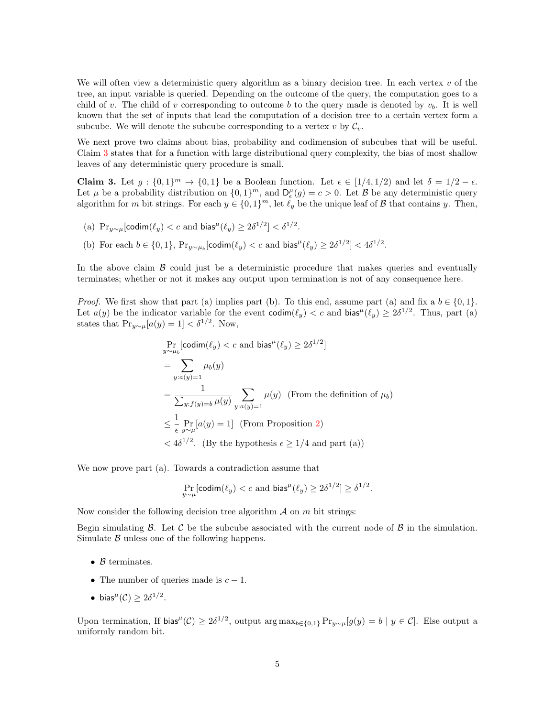We will often view a deterministic query algorithm as a binary decision tree. In each vertex  $v$  of the tree, an input variable is queried. Depending on the outcome of the query, the computation goes to a child of v. The child of v corresponding to outcome b to the query made is denoted by  $v_b$ . It is well known that the set of inputs that lead the computation of a decision tree to a certain vertex form a subcube. We will denote the subcube corresponding to a vertex v by  $\mathcal{C}_v$ .

We next prove two claims about bias, probability and codimension of subcubes that will be useful. Claim [3](#page-4-0) states that for a function with large distributional query complexity, the bias of most shallow leaves of any deterministic query procedure is small.

<span id="page-4-0"></span>**Claim 3.** Let  $g: \{0,1\}^m \to \{0,1\}$  be a Boolean function. Let  $\epsilon \in [1/4, 1/2)$  and let  $\delta = 1/2 - \epsilon$ . Let  $\mu$  be a probability distribution on  $\{0,1\}^m$ , and  $D_{\epsilon}^{\mu}(g) = c > 0$ . Let  $\beta$  be any deterministic query algorithm for m bit strings. For each  $y \in \{0,1\}^m$ , let  $\ell_y$  be the unique leaf of  $\beta$  that contains y. Then,

- (a)  $\Pr_{y \sim \mu}[\text{codim}(\ell_y) < c \text{ and } \text{bias}^{\mu}(\ell_y) \geq 2\delta^{1/2}] < \delta^{1/2}.$
- (b) For each  $b \in \{0,1\}$ ,  $Pr_{y \sim \mu_b}[\text{codim}(\ell_y) < c \text{ and } \text{bias}^{\mu}(\ell_y) \geq 2\delta^{1/2}] < 4\delta^{1/2}$ .

In the above claim  $\beta$  could just be a deterministic procedure that makes queries and eventually terminates; whether or not it makes any output upon termination is not of any consequence here.

*Proof.* We first show that part (a) implies part (b). To this end, assume part (a) and fix a  $b \in \{0, 1\}$ . Let  $a(y)$  be the indicator variable for the event  $\text{codim}(\ell_y) < c$  and  $\text{bias}^{\mu}(\ell_y) \geq 2\delta^{1/2}$ . Thus, part (a) states that  $\Pr_{y \sim \mu}[a(y) = 1] < \delta^{1/2}$ . Now,

$$
\Pr_{y \sim \mu_b}[\text{codim}(\ell_y) < c \text{ and bias}^{\mu}(\ell_y) \ge 2\delta^{1/2}]
$$
\n
$$
= \sum_{y: a(y)=1} \mu_b(y)
$$
\n
$$
= \frac{1}{\sum_{y: f(y)=b} \mu(y)} \sum_{y: a(y)=1} \mu(y) \text{ (From the definition of } \mu_b)
$$
\n
$$
\le \frac{1}{\epsilon} \Pr_{y \sim \mu}[a(y) = 1] \text{ (From Proposition 2)}
$$
\n
$$
< 4\delta^{1/2}. \text{ (By the hypothesis } \epsilon \ge 1/4 \text{ and part (a))}
$$

We now prove part (a). Towards a contradiction assume that

$$
\Pr_{y \sim \mu}[\text{codim}(\ell_y) < c \text{ and bias}^{\mu}(\ell_y) \ge 2\delta^{1/2}] \ge \delta^{1/2}.
$$

Now consider the following decision tree algorithm  $A$  on  $m$  bit strings:

Begin simulating  $\beta$ . Let  $\beta$  be the subcube associated with the current node of  $\beta$  in the simulation. Simulate  $\beta$  unless one of the following happens.

- $B$  terminates.
- The number of queries made is  $c 1$ .
- bias<sup> $\mu$ </sup>(C)  $\geq 2\delta^{1/2}$ .

Upon termination, If bias<sup> $\mu$ </sup>(C)  $\geq 2\delta^{1/2}$ , output arg max<sub>b∈{0,1}</sub> Pr<sub>y∼ $\mu$ </sub>[g(y) = b | y ∈ C]. Else output a uniformly random bit.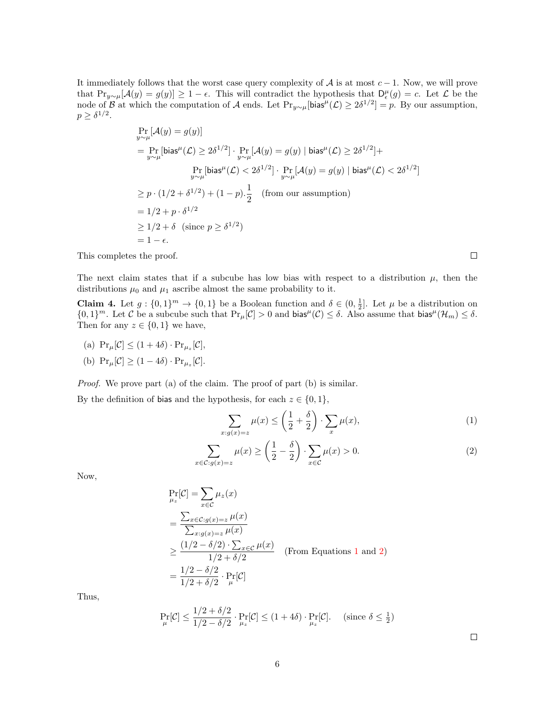It immediately follows that the worst case query complexity of  $A$  is at most  $c - 1$ . Now, we will prove that  $Pr_{y\sim\mu}[\mathcal{A}(y) = g(y)] \geq 1 - \epsilon$ . This will contradict the hypothesis that  $D_{\epsilon}^{\mu}(g) = c$ . Let  $\mathcal{L}$  be the node of B at which the computation of A ends. Let  $\Pr_{y \sim \mu}[\text{bias}^{\mu}(\mathcal{L}) \ge 2\delta^{1/2}] = p$ . By our assumption,  $p \geq \delta^{1/2}$ .

$$
\Pr_{y \sim \mu}[\mathcal{A}(y) = g(y)]
$$
\n
$$
= \Pr_{y \sim \mu}[\text{bias}^{\mu}(\mathcal{L}) \ge 2\delta^{1/2}] \cdot \Pr_{y \sim \mu}[\mathcal{A}(y) = g(y) | \text{bias}^{\mu}(\mathcal{L}) \ge 2\delta^{1/2}] +
$$
\n
$$
\Pr_{y \sim \mu}[\text{bias}^{\mu}(\mathcal{L}) < 2\delta^{1/2}] \cdot \Pr_{y \sim \mu}[\mathcal{A}(y) = g(y) | \text{bias}^{\mu}(\mathcal{L}) < 2\delta^{1/2}]
$$
\n
$$
\ge p \cdot (1/2 + \delta^{1/2}) + (1 - p) \cdot \frac{1}{2} \quad \text{(from our assumption)}
$$
\n
$$
= 1/2 + p \cdot \delta^{1/2}
$$
\n
$$
\ge 1/2 + \delta \quad \text{(since } p \ge \delta^{1/2}\text{)}
$$
\n
$$
= 1 - \epsilon.
$$

This completes the proof.

The next claim states that if a subcube has low bias with respect to a distribution  $\mu$ , then the distributions  $\mu_0$  and  $\mu_1$  ascribe almost the same probability to it.

<span id="page-5-0"></span>**Claim 4.** Let  $g: \{0,1\}^m \to \{0,1\}$  be a Boolean function and  $\delta \in (0,\frac{1}{2}]$ . Let  $\mu$  be a distribution on  $\{0,1\}^m$ . Let C be a subcube such that  $Pr_{\mu}[\mathcal{C}] > 0$  and bias<sup> $\mu(\mathcal{C}) \leq \delta$ . Also assume that bias<sup> $\mu(\mathcal{H}_m) \leq \delta$ .</sup></sup> Then for any  $z \in \{0,1\}$  we have,

- (a)  $\Pr_{\mu}[\mathcal{C}] \leq (1+4\delta) \cdot \Pr_{\mu_z}[\mathcal{C}],$
- (b)  $\Pr_{\mu}[\mathcal{C}] \ge (1 4\delta) \cdot \Pr_{\mu_z}[\mathcal{C}].$

Proof. We prove part (a) of the claim. The proof of part (b) is similar.

By the definition of bias and the hypothesis, for each  $z \in \{0, 1\}$ ,

$$
\sum_{x:g(x)=z} \mu(x) \le \left(\frac{1}{2} + \frac{\delta}{2}\right) \cdot \sum_{x} \mu(x),\tag{1}
$$

$$
\sum_{x \in \mathcal{C}: g(x) = z} \mu(x) \ge \left(\frac{1}{2} - \frac{\delta}{2}\right) \cdot \sum_{x \in \mathcal{C}} \mu(x) > 0.
$$
 (2)

Now,

$$
\Pr[\mathcal{C}] = \sum_{x \in \mathcal{C}} \mu_z(x)
$$
\n
$$
= \frac{\sum_{x \in \mathcal{C}: g(x) = z} \mu(x)}{\sum_{x:g(x) = z} \mu(x)}
$$
\n
$$
\geq \frac{(1/2 - \delta/2) \cdot \sum_{x \in \mathcal{C}} \mu(x)}{1/2 + \delta/2} \quad \text{(From Equations 1 and 2)}
$$
\n
$$
= \frac{1/2 - \delta/2}{1/2 + \delta/2} \cdot \Pr[\mathcal{C}]
$$

Thus,

$$
\Pr_{\mu}[\mathcal{C}] \le \frac{1/2 + \delta/2}{1/2 - \delta/2} \cdot \Pr_{\mu_z}[\mathcal{C}] \le (1 + 4\delta) \cdot \Pr_{\mu_z}[\mathcal{C}]. \quad \text{(since } \delta \le \frac{1}{2}\text{)}
$$

<span id="page-5-2"></span><span id="page-5-1"></span> $\Box$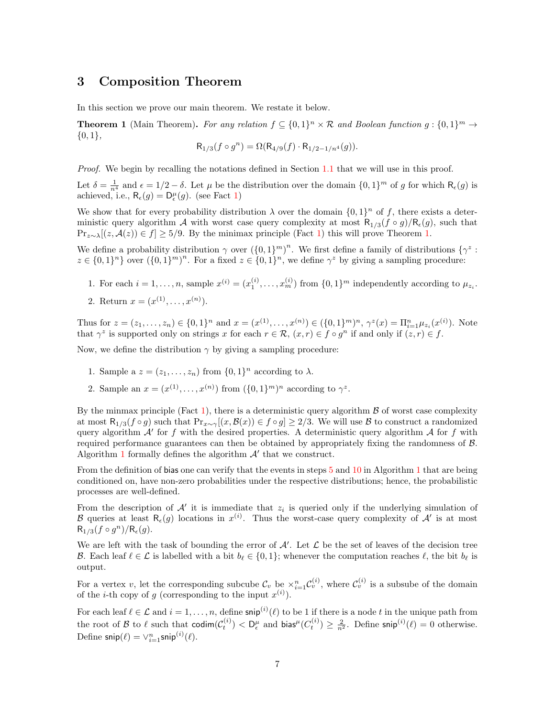## 3 Composition Theorem

In this section we prove our main theorem. We restate it below.

**Theorem 1** (Main Theorem). For any relation  $f \subseteq \{0,1\}^n \times \mathcal{R}$  and Boolean function  $g: \{0,1\}^m \to$  $\{0,1\},\$ 

$$
R_{1/3}(f \circ g^n) = \Omega(R_{4/9}(f) \cdot R_{1/2 - 1/n^4}(g)).
$$

Proof. We begin by recalling the notations defined in Section [1.1](#page-1-1) that we will use in this proof.

Let  $\delta = \frac{1}{n^4}$  and  $\epsilon = 1/2 - \delta$ . Let  $\mu$  be the distribution over the domain  $\{0, 1\}^m$  of g for which  $\mathsf{R}_{\epsilon}(g)$  is achieved, i.e.,  $\mathsf{R}_{\epsilon}(g) = \mathsf{D}_{\epsilon}^{\mu}(g)$ . (see Fact [1\)](#page-3-0)

We show that for every probability distribution  $\lambda$  over the domain  $\{0,1\}^n$  of f, there exists a deterministic query algorithm A with worst case query complexity at most  $R_{1/3}(f \circ g)/R_{\epsilon}(g)$ , such that  $Pr_{z \sim \lambda}[(z, \mathcal{A}(z)) \in f] \ge 5/9$ . By the minimax principle (Fact [1\)](#page-3-0) this will prove Theorem [1.](#page-1-0)

We define a probability distribution  $\gamma$  over  $({0,1})^m$ . We first define a family of distributions  ${\gamma^z}$ :  $z \in \{0,1\}^n$  over  $(\{0,1\}^m)^n$ . For a fixed  $z \in \{0,1\}^n$ , we define  $\gamma^z$  by giving a sampling procedure:

- 1. For each  $i = 1, ..., n$ , sample  $x^{(i)} = (x_1^{(i)}, ..., x_m^{(i)})$  from  $\{0, 1\}^m$  independently according to  $\mu_{z_i}$ .
- 2. Return  $x = (x^{(1)}, \ldots, x^{(n)})$ .

Thus for  $z = (z_1, \ldots, z_n) \in \{0, 1\}^n$  and  $x = (x^{(1)}, \ldots, x^{(n)}) \in (\{0, 1\}^m)^n$ ,  $\gamma^z(x) = \prod_{i=1}^n \mu_{z_i}(x^{(i)})$ . Note that  $\gamma^z$  is supported only on strings x for each  $r \in \mathcal{R}$ ,  $(x, r) \in f \circ g^n$  if and only if  $(z, r) \in f$ .

Now, we define the distribution  $\gamma$  by giving a sampling procedure:

- 1. Sample a  $z = (z_1, \ldots, z_n)$  from  $\{0, 1\}^n$  according to  $\lambda$ .
- 2. Sample an  $x = (x^{(1)}, \ldots, x^{(n)})$  from  $({0,1}^m)^n$  according to  $\gamma^z$ .

By the minmax principle (Fact [1\)](#page-3-0), there is a deterministic query algorithm  $\beta$  of worst case complexity at most  $\mathsf{R}_{1/3}(f \circ g)$  such that  $\Pr_{x \sim \gamma}[(x, \mathcal{B}(x)) \in f \circ g] \geq 2/3$ . We will use  $\mathcal B$  to construct a randomized query algorithm  $A'$  for f with the desired properties. A deterministic query algorithm  $A$  for f with required performance guarantees can then be obtained by appropriately fixing the randomness of  $\beta$ . Algorithm [1](#page-6-0) formally defines the algorithm  $A'$  that we construct.

<span id="page-6-0"></span>From the definition of bias one can verify that the events in steps [5](#page-7-0) and [10](#page-7-1) in Algorithm [1](#page-6-0) that are being conditioned on, have non-zero probabilities under the respective distributions; hence, the probabilistic processes are well-defined.

From the description of  $\mathcal{A}'$  it is immediate that  $z_i$  is queried only if the underlying simulation of B queries at least  $R_{\epsilon}(g)$  locations in  $x^{(i)}$ . Thus the worst-case query complexity of  $\mathcal{A}'$  is at most  $R_{1/3}(f \circ g^n)/R_{\epsilon}(g).$ 

We are left with the task of bounding the error of  $A'$ . Let  $\mathcal L$  be the set of leaves of the decision tree B. Each leaf  $\ell \in \mathcal{L}$  is labelled with a bit  $b_{\ell} \in \{0, 1\}$ ; whenever the computation reaches  $\ell$ , the bit  $b_{\ell}$  is output.

For a vertex v, let the corresponding subcube  $\mathcal{C}_v$  be  $\times_{i=1}^n \mathcal{C}_v^{(i)}$ , where  $\mathcal{C}_v^{(i)}$  is a subsube of the domain of the *i*-th copy of g (corresponding to the input  $x^{(i)}$ ).

For each leaf  $\ell \in \mathcal{L}$  and  $i = 1, \ldots, n$ , define snip<sup>(i)</sup>( $\ell$ ) to be 1 if there is a node t in the unique path from the root of B to  $\ell$  such that codim $(\mathcal{C}_t^{(i)}) < D_{\epsilon}^{\mu}$  and bias<sup> $\mu$ </sup> $(\mathcal{C}_t^{(i)}) \geq \frac{2}{n^2}$ . Define snip<sup>(i)</sup> $(\ell) = 0$  otherwise. Define  $\mathsf{snip}(\ell) = \vee_{i=1}^{n} \mathsf{snip}^{(i)}(\ell)$ .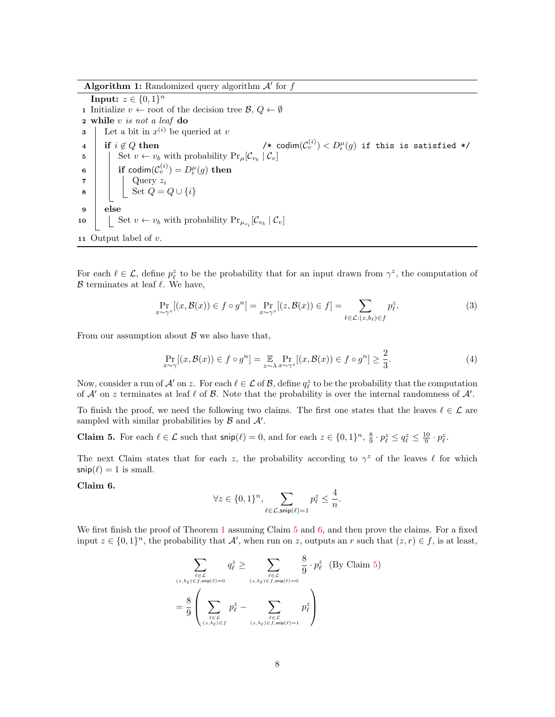Algorithm 1: Randomized query algorithm  $A'$  for  $f$ 

<span id="page-7-0"></span>**Input:**  $z \in \{0, 1\}^n$ 1 Initialize  $v \leftarrow \text{root of the decision tree } \mathcal{B}, Q \leftarrow \emptyset$ 2 while v is not a leaf do **3** Let a bit in  $x^{(i)}$  be queried at v 4 if  $i \notin Q$  then  $(v^{(i)}) < D_\epsilon^\mu(g)$  if this is satisfied \*/ 5 Set  $v \leftarrow v_b$  with probability  $Pr_{\mu}[\mathcal{C}_{v_b} | \mathcal{C}_v]$ <sup>6</sup> if codim(C (i) <sup>v</sup> ) = D<sup>µ</sup> (g) then  $\mathbf{z}$  | Query  $z_i$ 8  $\vert$  Set  $Q = Q \cup \{i\}$ 9 else 10  $\Big| \Big|$  Set  $v \leftarrow v_b$  with probability  $Pr_{\mu_{z_i}}[\mathcal{C}_{v_b} | \mathcal{C}_v]$ 11 Output label of  $v$ .

<span id="page-7-1"></span>For each  $\ell \in \mathcal{L}$ , define  $p_{\ell}^z$  to be the probability that for an input drawn from  $\gamma^z$ , the computation of  $\beta$  terminates at leaf  $\ell$ . We have,

$$
\Pr_{x \sim \gamma^z} [(x, \mathcal{B}(x)) \in f \circ g^n] = \Pr_{x \sim \gamma^z} [(z, \mathcal{B}(x)) \in f] = \sum_{\ell \in \mathcal{L}: (z, b_\ell) \in f} p_\ell^z.
$$
 (3)

From our assumption about  $\beta$  we also have that,

<span id="page-7-4"></span>
$$
\Pr_{x \sim \gamma}[(x, \mathcal{B}(x)) \in f \circ g^n] = \mathop{\mathbb{E}}_{z \sim \lambda} \Pr_{x \sim \gamma^z}[(x, \mathcal{B}(x)) \in f \circ g^n] \ge \frac{2}{3}.
$$
\n(4)

Now, consider a run of  $\mathcal{A}'$  on z. For each  $\ell \in \mathcal{L}$  of  $\mathcal{B}$ , define  $q_{\ell}^z$  to be the probability that the computation of  $A'$  on z terminates at leaf  $\ell$  of  $B$ . Note that the probability is over the internal randomness of  $A'$ .

To finish the proof, we need the following two claims. The first one states that the leaves  $\ell \in \mathcal{L}$  are sampled with similar probabilities by  $\beta$  and  $\mathcal{A}'$ .

<span id="page-7-2"></span>**Claim 5.** For each  $\ell \in \mathcal{L}$  such that  $\textsf{snip}(\ell) = 0$ , and for each  $z \in \{0, 1\}^n$ ,  $\frac{8}{9} \cdot p_{\ell}^z \le q_{\ell}^z \le \frac{10}{9} \cdot p_{\ell}^z$ .

The next Claim states that for each z, the probability according to  $\gamma^z$  of the leaves  $\ell$  for which  $\mathsf{snip}(\ell) = 1$  is small.

<span id="page-7-3"></span>Claim 6.

<span id="page-7-5"></span>
$$
\forall z \in \{0,1\}^n, \sum_{\ell \in \mathcal{L}, \mathsf{snip}(\ell)=1} p_{\ell}^z \le \frac{4}{n}.
$$

We first finish the proof of Theorem [1](#page-1-0) assuming Claim [5](#page-7-2) and [6,](#page-7-3) and then prove the claims. For a fixed input  $z \in \{0,1\}^n$ , the probability that  $\mathcal{A}'$ , when run on z, outputs an r such that  $(z, r) \in f$ , is at least,

$$
\sum_{\substack{\ell \in \mathcal{L} \\ (z, b_{\ell}) \in f, \text{snip}(\ell) = 0}} q_{\ell}^{z} \ge \sum_{\substack{\ell \in \mathcal{L} \\ (z, b_{\ell}) \in f, \text{snip}(\ell) = 0}} \frac{8}{9} \cdot p_{\ell}^{z} \quad \text{(By Claim 5)}
$$
\n
$$
= \frac{8}{9} \left( \sum_{\substack{\ell \in \mathcal{L} \\ (z, b_{\ell}) \in f}} p_{\ell}^{z} - \sum_{\substack{\ell \in \mathcal{L} \\ (z, b_{\ell}) \in f, \text{snip}(\ell) = 1}} p_{\ell}^{z} \right)
$$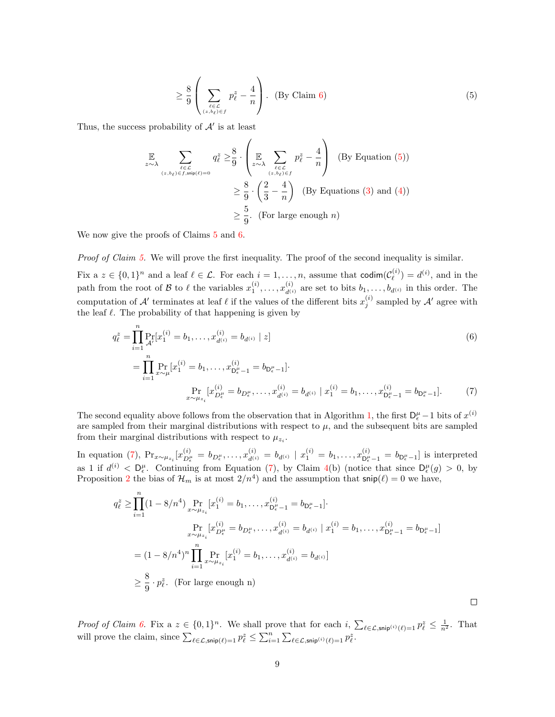<span id="page-8-0"></span>
$$
\geq \frac{8}{9} \left( \sum_{\substack{\ell \in \mathcal{L} \\ (z, b_{\ell}) \in f}} p_{\ell}^{z} - \frac{4}{n} \right). \quad \text{(By Claim 6)}\tag{5}
$$

Thus, the success probability of  $A'$  is at least

$$
\mathbb{E}\n\sum_{\substack{\ell \in \mathcal{L} \\ (z, b_{\ell}) \in f, \text{snip}(\ell) = 0}} q_{\ell}^{z} \geq \frac{8}{9} \cdot \left( \mathbb{E}\n\sum_{\substack{\ell \in \mathcal{L} \\ (z, b_{\ell}) \in f}} p_{\ell}^{z} - \frac{4}{n} \right) \quad \text{(By Equation (5))}
$$
\n
$$
\geq \frac{8}{9} \cdot \left( \frac{2}{3} - \frac{4}{n} \right) \quad \text{(By Equations (3) and (4))}
$$
\n
$$
\geq \frac{5}{9}. \quad \text{(For large enough } n)
$$

We now give the proofs of Claims  $5$  and  $6$ .

Proof of Claim [5.](#page-7-2) We will prove the first inequality. The proof of the second inequality is similar.

Fix a  $z \in \{0,1\}^n$  and a leaf  $\ell \in \mathcal{L}$ . For each  $i = 1, \ldots, n$ , assume that  $\text{codim}(\mathcal{C}_{\ell}^{(i)})$  $\binom{i}{\ell} = d^{(i)}$ , and in the path from the root of B to  $\ell$  the variables  $x_1^{(i)}, \ldots, x_{d^{(i)}}^{(i)}$  are set to bits  $b_1, \ldots, b_{d^{(i)}}$  in this order. The computation of  $\mathcal{A}'$  terminates at leaf  $\ell$  if the values of the different bits  $x_j^{(i)}$  sampled by  $\mathcal{A}'$  agree with the leaf  $\ell$ . The probability of that happening is given by

$$
q_{\ell}^{z} = \prod_{i=1}^{n} \Pr_{\mathcal{A}'}[x_{1}^{(i)} = b_{1}, \dots, x_{d^{(i)}}^{(i)} = b_{d^{(i)}} | z]
$$
(6)  

$$
= \prod_{i=1}^{n} \Pr_{x \sim \mu}[x_{1}^{(i)} = b_{1}, \dots, x_{D_{\ell}^{\mu}-1}^{(i)} = b_{D_{\ell}^{\mu}-1}].
$$
  

$$
\Pr_{x \sim \mu_{z_{i}}} [x_{D_{\ell}^{\mu}}^{(i)} = b_{D_{\ell}^{\mu}}, \dots, x_{d^{(i)}}^{(i)} = b_{d^{(i)}} | x_{1}^{(i)} = b_{1}, \dots, x_{D_{\ell}^{\mu}-1}^{(i)} = b_{D_{\ell}^{\mu}-1}].
$$
(7)

The second equality above follows from the observation that in Algorithm [1,](#page-6-0) the first  $D_{\epsilon}^{\mu} - 1$  bits of  $x^{(i)}$ are sampled from their marginal distributions with respect to  $\mu$ , and the subsequent bits are sampled from their marginal distributions with respect to  $\mu_{z_i}$ .

In equation [\(7\)](#page-8-1),  $Pr_{x \sim \mu_{z_i}}[x_{D_{\epsilon}}^{(i)}]$  $\hat{D}^{(i)}_{\epsilon} \, = \, b_{D_{\epsilon}^{\mu}}, \ldots, x_{d^{(i)}}^{(i)} \, = \, b_{d^{(i)}} \, \mid \, x_{1}^{(i)} \, = \, b_{1}, \ldots, x_{D_{\epsilon}^{\mu}}^{(i)}$  $b_{\mathsf{D}_{\epsilon}^{\mu}-1}^{(i)} = b_{\mathsf{D}_{\epsilon}^{\mu}-1}$  is interpreted as 1 if  $d^{(i)} < D_{\epsilon}^{\mu}$ . Continuing from Equation [\(7\)](#page-8-1), by Claim [4\(](#page-5-0)b) (notice that since  $D_{\epsilon}^{\mu}(g) > 0$ , by Proposition [2](#page-3-1) the bias of  $\mathcal{H}_m$  is at most  $2/n^4$ ) and the assumption that  $\mathsf{snip}(\ell) = 0$  we have,

$$
q_{\ell}^{z} \geq \prod_{i=1}^{n} (1 - 8/n^{4}) \Pr_{x \sim \mu_{z_{i}}} [x_{1}^{(i)} = b_{1}, \dots, x_{D_{\ell}^{\mu}-1}^{(i)} = b_{D_{\epsilon}^{\mu}-1}].
$$
  
\n
$$
\Pr_{x \sim \mu_{z_{i}}} [x_{D_{\epsilon}^{\mu}}^{(i)} = b_{D_{\epsilon}^{\mu}}, \dots, x_{d^{(i)}}^{(i)} = b_{d^{(i)}} | x_{1}^{(i)} = b_{1}, \dots, x_{D_{\ell}^{\mu}-1}^{(i)} = b_{D_{\epsilon}^{\mu}-1}]
$$
  
\n
$$
= (1 - 8/n^{4})^{n} \prod_{i=1}^{n} \Pr_{x \sim \mu_{z_{i}}} [x_{1}^{(i)} = b_{1}, \dots, x_{d^{(i)}}^{(i)} = b_{d^{(i)}}]
$$
  
\n
$$
\geq \frac{8}{9} \cdot p_{\ell}^{z}.
$$
 (For large enough n)

Proof of Claim [6.](#page-7-3) Fix a  $z \in \{0,1\}^n$ . We shall prove that for each  $i$ ,  $\sum_{\ell \in \mathcal{L}, \mathsf{snip}^{(i)}(\ell)=1} p_{\ell}^z \leq \frac{1}{n^2}$ . That will prove the claim, since  $\sum_{\ell \in \mathcal{L}, \mathsf{snip}(\ell)=1} p_{\ell}^z \leq \sum_{i=1}^n \sum_{\ell \in \mathcal{L}, \mathsf{snip}^{(i)}(\ell)=1} p_{\ell}^z$ .

<span id="page-8-1"></span> $\Box$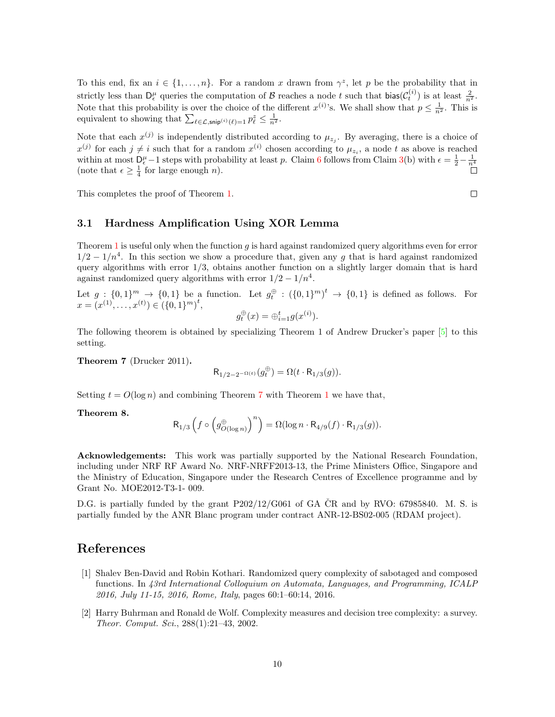To this end, fix an  $i \in \{1, ..., n\}$ . For a random x drawn from  $\gamma^z$ , let p be the probability that in strictly less than  $D_{\epsilon}^{\mu}$  queries the computation of B reaches a node t such that  $\text{bias}(\mathcal{C}_{t}^{(i)})$  is at least  $\frac{2}{n^2}$ . Note that this probability is over the choice of the different  $x^{(i)}$ 's. We shall show that  $p \leq \frac{1}{n^2}$ . This is equivalent to showing that  $\sum_{\ell \in \mathcal{L}, \mathsf{snip}^{(i)}(\ell)=1} p_{\ell}^z \leq \frac{1}{n^2}$ .

Note that each  $x^{(j)}$  is independently distributed according to  $\mu_{z_j}$ . By averaging, there is a choice of  $x^{(j)}$  for each  $j \neq i$  such that for a random  $x^{(i)}$  chosen according to  $\mu_{z_i}$ , a node t as above is reached within at most  $D_{\epsilon}^{\mu}$  – 1 steps with probability at least p. Claim [6](#page-7-3) follows from Claim [3\(](#page-4-0)b) with  $\epsilon = \frac{1}{2} - \frac{1}{n^4}$ (note that  $\epsilon \geq \frac{1}{4}$  for large enough *n*).

This completes the proof of Theorem [1.](#page-1-0)

#### $\Box$

#### 3.1 Hardness Amplification Using XOR Lemma

Theorem [1](#page-1-0) is useful only when the function q is hard against randomized query algorithms even for error  $1/2 - 1/n<sup>4</sup>$ . In this section we show a procedure that, given any g that is hard against randomized query algorithms with error  $1/3$ , obtains another function on a slightly larger domain that is hard against randomized query algorithms with error  $1/2 - 1/n^4$ .

Let  $g: \{0,1\}^m \to \{0,1\}$  be a function. Let  $g_t^{\oplus}: (\{0,1\}^m)^t \to \{0,1\}$  is defined as follows. For  $x = (x^{(1)}, \ldots, x^{(t)}) \in (\{0, 1\}^m)^t,$ 

$$
g_t^{\oplus}(x) = \oplus_{i=1}^t g(x^{(i)}).
$$

The following theorem is obtained by specializing Theorem 1 of Andrew Drucker's paper [\[5\]](#page--1-9) to this setting.

<span id="page-9-2"></span>Theorem 7 (Drucker 2011).

$$
\mathsf{R}_{1/2-2^{-\Omega(t)}}(g^\oplus_t) = \Omega(t \cdot \mathsf{R}_{1/3}(g)).
$$

Setting  $t = O(\log n)$  and combining Theorem [7](#page-9-2) with Theorem [1](#page-1-0) we have that,

Theorem 8.

$$
\mathsf{R}_{1/3}\left( f \circ \left( g_{O(\log n)}^{\oplus} \right)^n \right) = \Omega(\log n \cdot \mathsf{R}_{4/9}(f) \cdot \mathsf{R}_{1/3}(g)).
$$

Acknowledgements: This work was partially supported by the National Research Foundation, including under NRF RF Award No. NRF-NRFF2013-13, the Prime Ministers Office, Singapore and the Ministry of Education, Singapore under the Research Centres of Excellence programme and by Grant No. MOE2012-T3-1- 009.

D.G. is partially funded by the grant  $P202/12/G061$  of GA CR and by RVO: 67985840. M. S. is partially funded by the ANR Blanc program under contract ANR-12-BS02-005 (RDAM project).

# References

- <span id="page-9-0"></span>[1] Shalev Ben-David and Robin Kothari. Randomized query complexity of sabotaged and composed functions. In 43rd International Colloquium on Automata, Languages, and Programming, ICALP 2016, July 11-15, 2016, Rome, Italy, pages 60:1–60:14, 2016.
- <span id="page-9-1"></span>[2] Harry Buhrman and Ronald de Wolf. Complexity measures and decision tree complexity: a survey. Theor. Comput. Sci., 288(1):21–43, 2002.